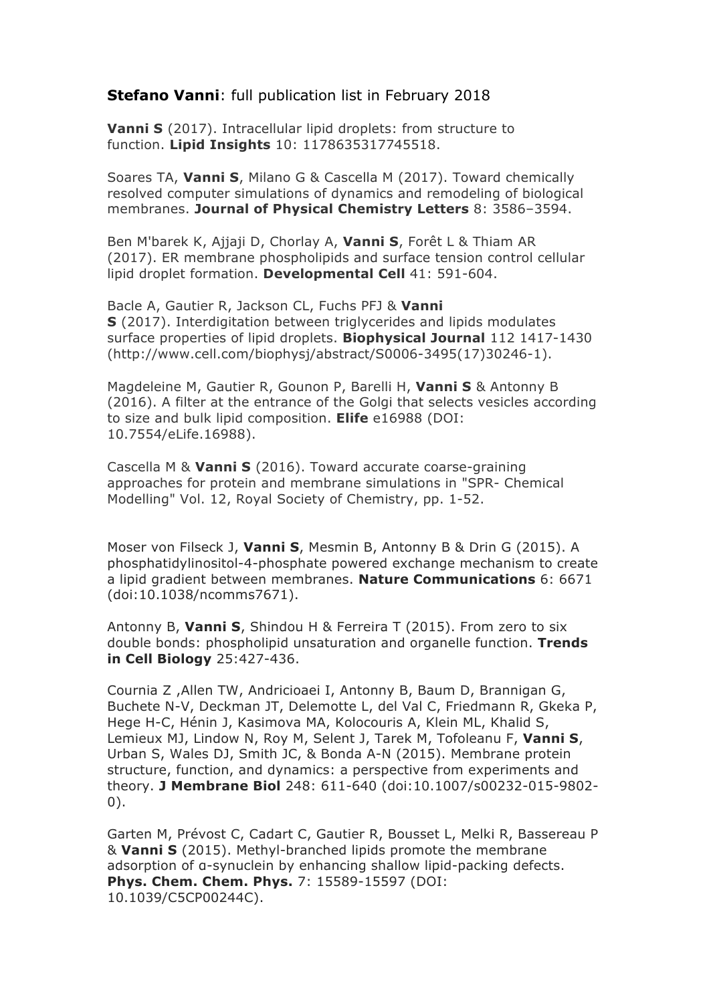## **Stefano Vanni**: full publication list in February 2018

**Vanni S** (2017). Intracellular lipid droplets: from structure to function. **Lipid Insights** 10: 1178635317745518.

Soares TA, **Vanni S**, Milano G & Cascella M (2017). Toward chemically resolved computer simulations of dynamics and remodeling of biological membranes. **Journal of Physical Chemistry Letters** 8: 3586–3594.

Ben M'barek K, Ajjaji D, Chorlay A, **Vanni S**, Forêt L & Thiam AR (2017). ER membrane phospholipids and surface tension control cellular lipid droplet formation. **Developmental Cell** 41: 591-604.

Bacle A, Gautier R, Jackson CL, Fuchs PFJ & **Vanni S** (2017). Interdigitation between triglycerides and lipids modulates surface properties of lipid droplets. **Biophysical Journal** 112 1417-1430 (http://www.cell.com/biophysj/abstract/S0006-3495(17)30246-1).

Magdeleine M, Gautier R, Gounon P, Barelli H, **Vanni S** & Antonny B (2016). A filter at the entrance of the Golgi that selects vesicles according to size and bulk lipid composition. **Elife** e16988 (DOI: 10.7554/eLife.16988).

Cascella M & **Vanni S** (2016). Toward accurate coarse-graining approaches for protein and membrane simulations in "SPR- Chemical Modelling" Vol. 12, Royal Society of Chemistry, pp. 1-52.

Moser von Filseck J, **Vanni S**, Mesmin B, Antonny B & Drin G (2015). A phosphatidylinositol-4-phosphate powered exchange mechanism to create a lipid gradient between membranes. **Nature Communications** 6: 6671 (doi:10.1038/ncomms7671).

Antonny B, **Vanni S**, Shindou H & Ferreira T (2015). From zero to six double bonds: phospholipid unsaturation and organelle function. **Trends in Cell Biology** 25:427-436.

Cournia Z ,Allen TW, Andricioaei I, Antonny B, Baum D, Brannigan G, Buchete N-V, Deckman JT, Delemotte L, del Val C, Friedmann R, Gkeka P, Hege H-C, Hénin J, Kasimova MA, Kolocouris A, Klein ML, Khalid S, Lemieux MJ, Lindow N, Roy M, Selent J, Tarek M, Tofoleanu F, **Vanni S**, Urban S, Wales DJ, Smith JC, & Bonda A-N (2015). Membrane protein structure, function, and dynamics: a perspective from experiments and theory. **J Membrane Biol** 248: 611-640 (doi:10.1007/s00232-015-9802- 0).

Garten M, Prévost C, Cadart C, Gautier R, Bousset L, Melki R, Bassereau P & **Vanni S** (2015). Methyl-branched lipids promote the membrane adsorption of α-synuclein by enhancing shallow lipid-packing defects. **Phys. Chem. Chem. Phys.** 7: 15589-15597 (DOI: 10.1039/C5CP00244C).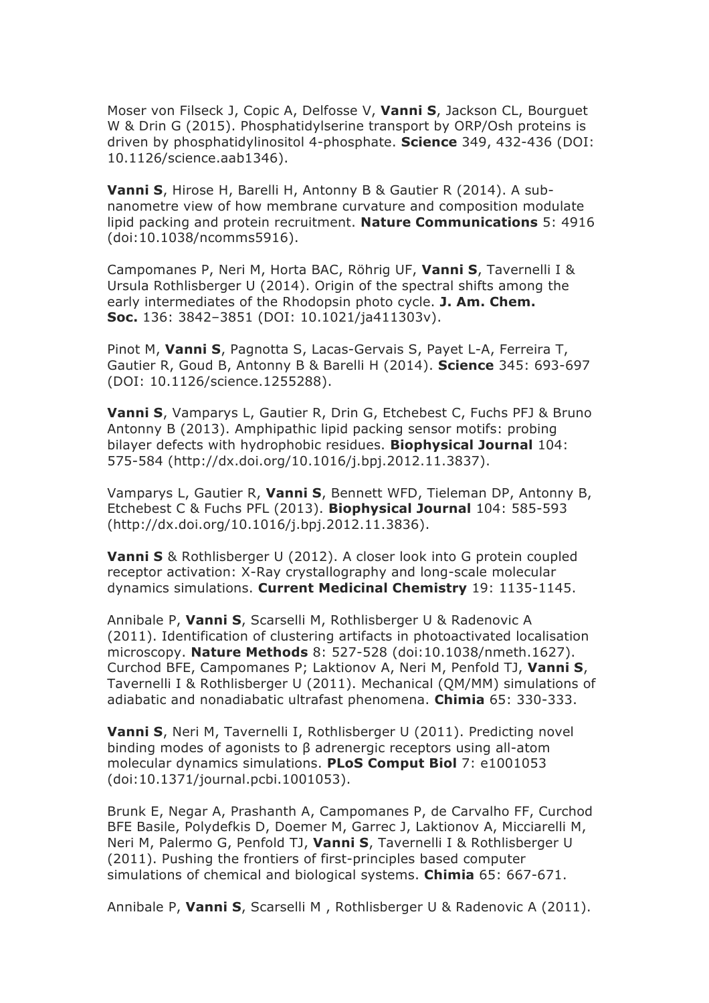Moser von Filseck J, Copic A, Delfosse V, **Vanni S**, Jackson CL, Bourguet W & Drin G (2015). Phosphatidylserine transport by ORP/Osh proteins is driven by phosphatidylinositol 4-phosphate. **Science** 349, 432-436 (DOI: 10.1126/science.aab1346).

**Vanni S**, Hirose H, Barelli H, Antonny B & Gautier R (2014). A subnanometre view of how membrane curvature and composition modulate lipid packing and protein recruitment. **Nature Communications** 5: 4916 (doi:10.1038/ncomms5916).

Campomanes P, Neri M, Horta BAC, Röhrig UF, **Vanni S**, Tavernelli I & Ursula Rothlisberger U (2014). Origin of the spectral shifts among the early intermediates of the Rhodopsin photo cycle. **J. Am. Chem. Soc.** 136: 3842–3851 (DOI: 10.1021/ja411303v).

Pinot M, **Vanni S**, Pagnotta S, Lacas-Gervais S, Payet L-A, Ferreira T, Gautier R, Goud B, Antonny B & Barelli H (2014). **Science** 345: 693-697 (DOI: 10.1126/science.1255288).

**Vanni S**, Vamparys L, Gautier R, Drin G, Etchebest C, Fuchs PFJ & Bruno Antonny B (2013). Amphipathic lipid packing sensor motifs: probing bilayer defects with hydrophobic residues. **Biophysical Journal** 104: 575-584 (http://dx.doi.org/10.1016/j.bpj.2012.11.3837).

Vamparys L, Gautier R, **Vanni S**, Bennett WFD, Tieleman DP, Antonny B, Etchebest C & Fuchs PFL (2013). **Biophysical Journal** 104: 585-593 (http://dx.doi.org/10.1016/j.bpj.2012.11.3836).

**Vanni S** & Rothlisberger U (2012). A closer look into G protein coupled receptor activation: X-Ray crystallography and long-scale molecular dynamics simulations. **Current Medicinal Chemistry** 19: 1135-1145.

Annibale P, **Vanni S**, Scarselli M, Rothlisberger U & Radenovic A (2011). Identification of clustering artifacts in photoactivated localisation microscopy. **Nature Methods** 8: 527-528 (doi:10.1038/nmeth.1627). Curchod BFE, Campomanes P; Laktionov A, Neri M, Penfold TJ, **Vanni S**, Tavernelli I & Rothlisberger U (2011). Mechanical (QM/MM) simulations of adiabatic and nonadiabatic ultrafast phenomena. **Chimia** 65: 330-333.

**Vanni S**, Neri M, Tavernelli I, Rothlisberger U (2011). Predicting novel binding modes of agonists to β adrenergic receptors using all-atom molecular dynamics simulations. **PLoS Comput Biol** 7: e1001053 (doi:10.1371/journal.pcbi.1001053).

Brunk E, Negar A, Prashanth A, Campomanes P, de Carvalho FF, Curchod BFE Basile, Polydefkis D, Doemer M, Garrec J, Laktionov A, Micciarelli M, Neri M, Palermo G, Penfold TJ, **Vanni S**, Tavernelli I & Rothlisberger U (2011). Pushing the frontiers of first-principles based computer simulations of chemical and biological systems. **Chimia** 65: 667-671.

Annibale P, **Vanni S**, Scarselli M , Rothlisberger U & Radenovic A (2011).